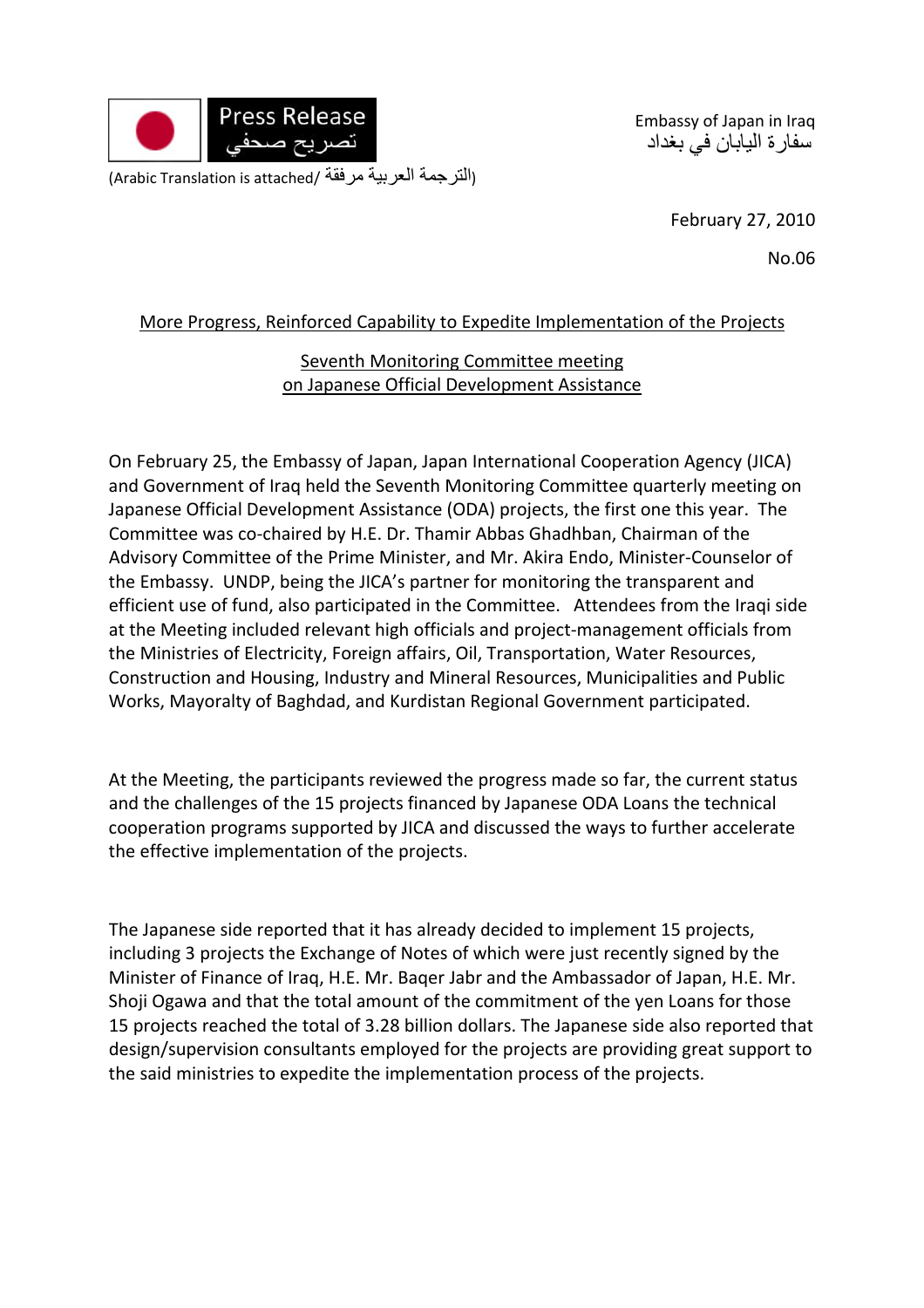

Embassy of Japan in Iraq سفارة اليابان في بغداد

(التر جمة العربية مرفقة /Arabic Translation is attached)

February 27, 2010

No.06

## More Progress, Reinforced Capability to Expedite Implementation of the Projects

## Seventh Monitoring Committee meeting on Japanese Official Development Assistance

On February 25, the Embassy of Japan, Japan International Cooperation Agency (JICA) and Government of Iraq held the Seventh Monitoring Committee quarterly meeting on Japanese Official Development Assistance (ODA) projects, the first one this year. The Committee was co‐chaired by H.E. Dr. Thamir Abbas Ghadhban, Chairman of the Advisory Committee of the Prime Minister, and Mr. Akira Endo, Minister‐Counselor of the Embassy. UNDP, being the JICA's partner for monitoring the transparent and efficient use of fund, also participated in the Committee. Attendees from the Iraqi side at the Meeting included relevant high officials and project‐management officials from the Ministries of Electricity, Foreign affairs, Oil, Transportation, Water Resources, Construction and Housing, Industry and Mineral Resources, Municipalities and Public Works, Mayoralty of Baghdad, and Kurdistan Regional Government participated.

At the Meeting, the participants reviewed the progress made so far, the current status and the challenges of the 15 projects financed by Japanese ODA Loans the technical cooperation programs supported by JICA and discussed the ways to further accelerate the effective implementation of the projects.

The Japanese side reported that it has already decided to implement 15 projects, including 3 projects the Exchange of Notes of which were just recently signed by the Minister of Finance of Iraq, H.E. Mr. Baqer Jabr and the Ambassador of Japan, H.E. Mr. Shoji Ogawa and that the total amount of the commitment of the yen Loans for those 15 projects reached the total of 3.28 billion dollars. The Japanese side also reported that design/supervision consultants employed for the projects are providing great support to the said ministries to expedite the implementation process of the projects.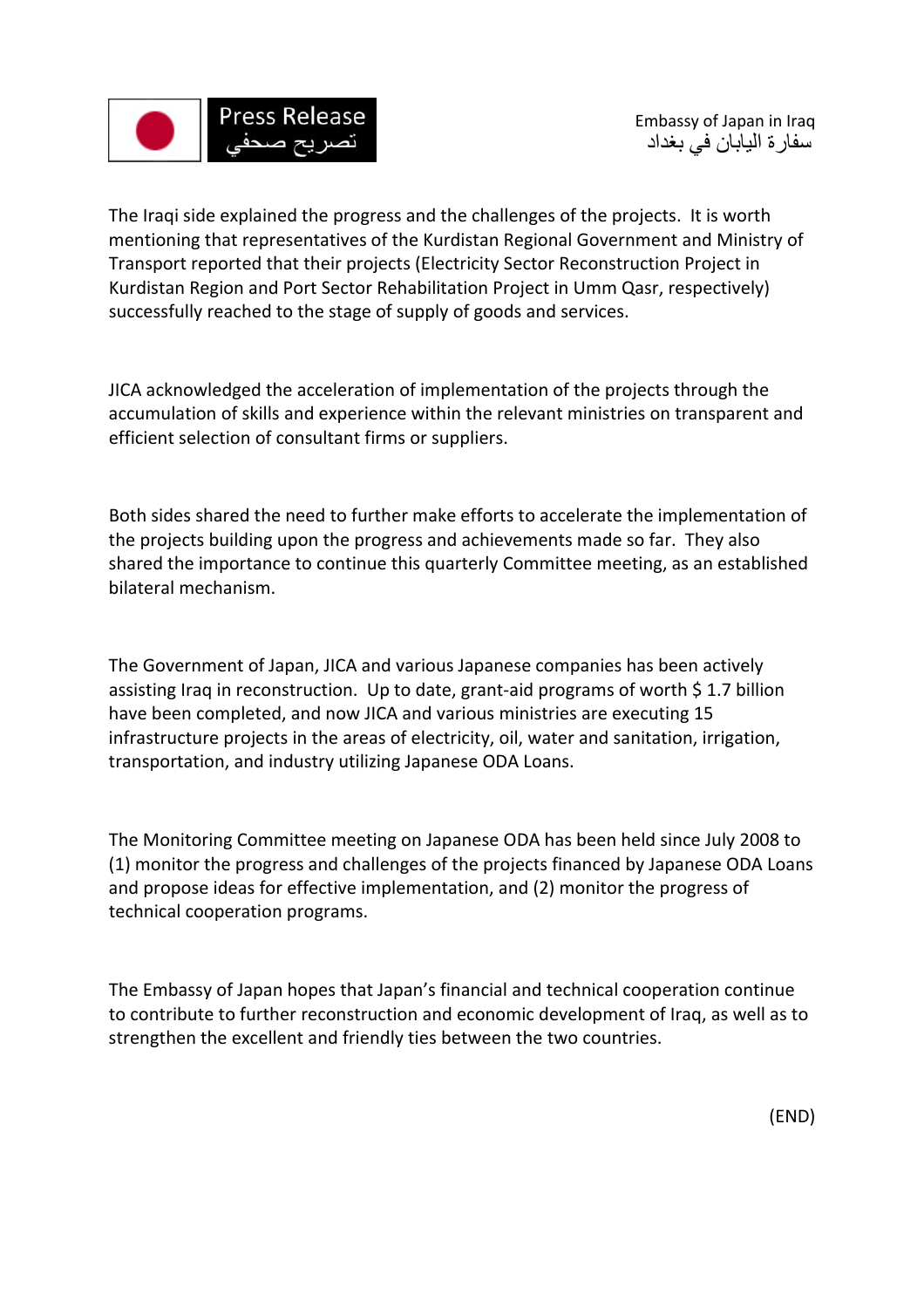

The Iraqi side explained the progress and the challenges of the projects. It is worth mentioning that representatives of the Kurdistan Regional Government and Ministry of Transport reported that their projects (Electricity Sector Reconstruction Project in Kurdistan Region and Port Sector Rehabilitation Project in Umm Qasr, respectively) successfully reached to the stage of supply of goods and services.

JICA acknowledged the acceleration of implementation of the projects through the accumulation of skills and experience within the relevant ministries on transparent and efficient selection of consultant firms or suppliers.

Both sides shared the need to further make efforts to accelerate the implementation of the projects building upon the progress and achievements made so far. They also shared the importance to continue this quarterly Committee meeting, as an established bilateral mechanism.

The Government of Japan, JICA and various Japanese companies has been actively assisting Iraq in reconstruction. Up to date, grant-aid programs of worth \$1.7 billion have been completed, and now JICA and various ministries are executing 15 infrastructure projects in the areas of electricity, oil, water and sanitation, irrigation, transportation, and industry utilizing Japanese ODA Loans.

The Monitoring Committee meeting on Japanese ODA has been held since July 2008 to (1) monitor the progress and challenges of the projects financed by Japanese ODA Loans and propose ideas for effective implementation, and (2) monitor the progress of technical cooperation programs.

The Embassy of Japan hopes that Japan's financial and technical cooperation continue to contribute to further reconstruction and economic development of Iraq, as well as to strengthen the excellent and friendly ties between the two countries.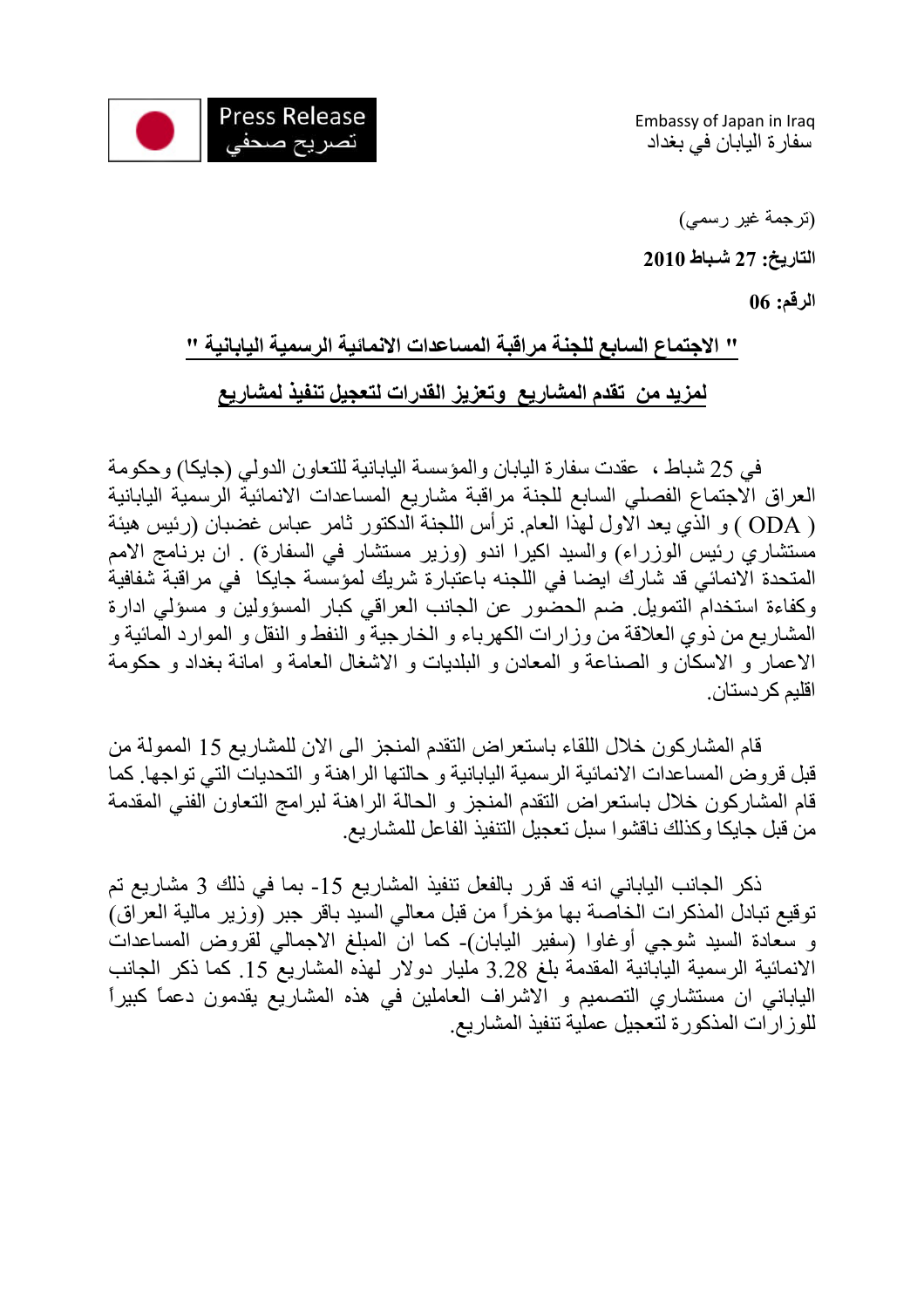

Embassy of Japan in Iraq سفارة اليابان في بغداد

(ترجمة غير رسمي) **التاريخ: 27 شـباط 2010** 

**الرقم: 06** 

## **" الاجتماع السابع للجنة مراقبة المساعدات الانمائية الرسمية اليابانية " لمزيد من تقدم المشاريع وتعزيز القدرات لتعجيل تنفيذ لمشاريع**

 في 25 شباط ، عقدت سفارة اليابان والمؤسسة اليابانية للتعاون الدولي (جايكا) وحكومة العراق الاجتماع الفصلي السابع للجنة مراقبة مشاريع المساعدات الانمائية الرسمية اليابانية ( ODA ) و الذي يعد الاول لهذا العام. ترأس اللجنة الدكتور ثامر عباس غضبان (رئيس هيئة مستشاري رئيس الوزراء) والسيد اكيرا اندو (وزير مستشار في السفارة) . ان برنامج الامم المتحدة الانمائي قد شارك ايضا في اللجنه باعتبارة شريك لمؤسسة جايكا في مراقبة شفافية وكفاءة استخدام التمويل. ضم الحضور عن الجانب العراقي كبار المسؤولين و مسؤلي ادارة المشاريع من ذوي العلاقة من وزارات الكهرباء و الخارجية و النفط و النقل و الموارد المائية و الاعمار و الاسكان و الصناعة و المعادن و البلديات و الاشغال العامة و امانة بغداد و حكومة اقليم كر دستان.

قام المشاركون خلال اللقاء باستعراض التقدم المنجز الى الان للمشاريع 15 الممولة من قبل قروض المساعدات الانمائية الرسمية اليابانية و حالتها الراهنة و التحديات التي تواجها. آما قام المشاركون خلال باستعراض التقدم المنجز و الحالة الراهنة لبرامج التعاون الفني المقدمة من قبل جايكا وكذلك ناقشوا سبل تعجيل التنفيذ الفاعل للمشاريع.

ذآر الجانب الياباني انه قد قرر بالفعل تنفيذ المشاريع -15 بما في ذلك 3 مشاريع تم توقيع تبادل المذكرات الخاصة بها مؤخراً من قبل معالي السيد باقر جبر (وزير مالية العراق) و سعادة السيد شوجي أوغاوا (سفير اليابان)- آما ان المبلغ الاجمالي لقروض المساعدات الانمائية الرسمية اليابانية المقدمة بلغ 3.28 مليار دولار لهذه المشاريع .15 آما ذآر الجانب الياباني ان مستشاري التصميم و الاشراف العاملين في هذه المشاريع يقدمون دعماً آبيراً للوز ارات المذكورة لتعجيل عملية تنفيذ المشاريع.